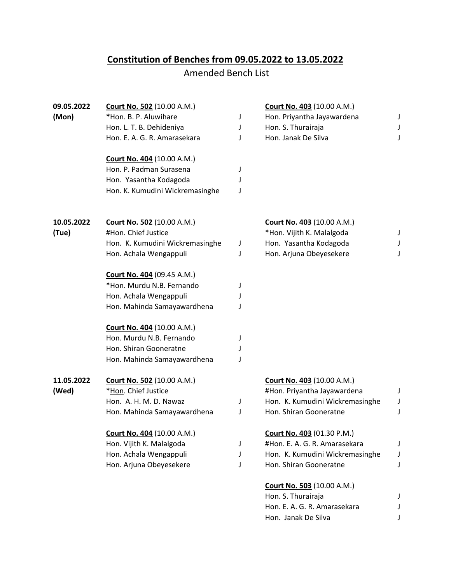## **Constitution of Benches from 09.05.2022 to 13.05.2022**

## Amended Bench List

| 09.05.2022 | <b>Court No. 502 (10.00 A.M.)</b> |   | <b>Court No. 403 (10.00 A.M.)</b> |   |
|------------|-----------------------------------|---|-----------------------------------|---|
| (Mon)      | *Hon. B. P. Aluwihare             | J | Hon. Priyantha Jayawardena        | J |
|            | Hon. L. T. B. Dehideniya          | J | Hon. S. Thurairaja                | J |
|            | Hon. E. A. G. R. Amarasekara      | J | Hon. Janak De Silva               | J |
|            | <b>Court No. 404 (10.00 A.M.)</b> |   |                                   |   |
|            | Hon. P. Padman Surasena           | J |                                   |   |
|            | Hon. Yasantha Kodagoda            | J |                                   |   |
|            | Hon. K. Kumudini Wickremasinghe   | J |                                   |   |
| 10.05.2022 | <b>Court No. 502</b> (10.00 A.M.) |   | <b>Court No. 403 (10.00 A.M.)</b> |   |
| (Tue)      | #Hon. Chief Justice               |   | *Hon. Vijith K. Malalgoda         | J |
|            | Hon. K. Kumudini Wickremasinghe   | J | Hon. Yasantha Kodagoda            | J |
|            | Hon. Achala Wengappuli            | J | Hon. Arjuna Obeyesekere           | J |
|            | <b>Court No. 404 (09.45 A.M.)</b> |   |                                   |   |
|            | *Hon. Murdu N.B. Fernando         | J |                                   |   |
|            | Hon. Achala Wengappuli            | J |                                   |   |
|            | Hon. Mahinda Samayawardhena       | J |                                   |   |
|            | Court No. 404 (10.00 A.M.)        |   |                                   |   |
|            | Hon. Murdu N.B. Fernando          | J |                                   |   |
|            | Hon. Shiran Gooneratne            | J |                                   |   |
|            | Hon. Mahinda Samayawardhena       | J |                                   |   |
| 11.05.2022 | <b>Court No. 502 (10.00 A.M.)</b> |   | Court No. 403 (10.00 A.M.)        |   |
| (Wed)      | *Hon. Chief Justice               |   | #Hon. Priyantha Jayawardena       | J |
|            | Hon. A. H. M. D. Nawaz            | J | Hon. K. Kumudini Wickremasinghe   | J |
|            | Hon. Mahinda Samayawardhena       | J | Hon. Shiran Gooneratne            | J |
|            | <b>Court No. 404</b> (10.00 A.M.) |   | <b>Court No. 403</b> (01.30 P.M.) |   |
|            | Hon. Vijith K. Malalgoda          | J | #Hon. E. A. G. R. Amarasekara     | J |
|            | Hon. Achala Wengappuli            | J | Hon. K. Kumudini Wickremasinghe   | J |
|            | Hon. Arjuna Obeyesekere           | J | Hon. Shiran Gooneratne            | J |
|            |                                   |   | <b>Court No. 503 (10.00 A.M.)</b> |   |
|            |                                   |   | Hon. S. Thurairaja                |   |
|            |                                   |   | Hon. E. A. G. R. Amarasekara      | J |
|            |                                   |   | Hon. Janak De Silva               |   |